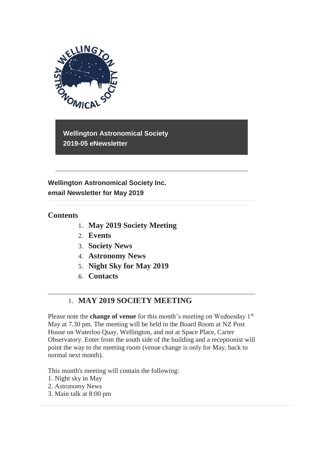

**Wellington Astronomical Society 2019-05 eNewsletter**

**Wellington Astronomical Society Inc. email Newsletter for May 2019**

# **Contents**

- 1. **May 2019 Society Meeting**
- 2. **Events**
- 3. **Society News**
- 4. **Astronomy News**
- 5. **Night Sky for May 2019**
- 6. **Contacts**

# 1. **MAY 2019 SOCIETY MEETING**

Please note the **change of venue** for this month's meeting on Wednesday 1<sup>st</sup> May at 7.30 pm. The meeting will be held in the Board Room at NZ Post House on Waterloo Quay, Wellington, and not at Space Place, Carter Observatory. Enter from the south side of the building and a receptionist will point the way to the meeting room (venue change is only for May, back to normal next month).

This month's meeting will contain the following:

- 1. Night sky in May
- 2. Astronomy News
- 3. Main talk at 8:00 pm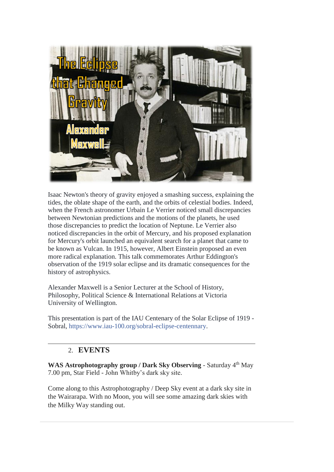

Isaac Newton's theory of gravity enjoyed a smashing success, explaining the tides, the oblate shape of the earth, and the orbits of celestial bodies. Indeed, when the French astronomer Urbain Le Verrier noticed small discrepancies between Newtonian predictions and the motions of the planets, he used those discrepancies to predict the location of Neptune. Le Verrier also noticed discrepancies in the orbit of Mercury, and his proposed explanation for Mercury's orbit launched an equivalent search for a planet that came to be known as Vulcan. In 1915, however, Albert Einstein proposed an even more radical explanation. This talk commemorates Arthur Eddington's observation of the 1919 solar eclipse and its dramatic consequences for the history of astrophysics.

Alexander Maxwell is a Senior Lecturer at the School of History, Philosophy, Political Science & International Relations at Victoria University of Wellington.

This presentation is part of the IAU Centenary of the Solar Eclipse of 1919 - Sobral, [https://www.iau-100.org/sobral-eclipse-centennary.](https://www.iau-100.org/sobral-eclipse-centennary?fbclid=IwAR0c17Qcg40YOvgsor2ckovHihoBmbo91SEvzm_ynYoHnq04kKAlCfMchjo)

# 2. **EVENTS**

WAS Astrophotography group / Dark Sky Observing - Saturday 4<sup>th</sup> May 7.00 pm, Star Field - John Whitby's dark sky site.

Come along to this Astrophotography / Deep Sky event at a dark sky site in the Wairarapa. With no Moon, you will see some amazing dark skies with the Milky Way standing out.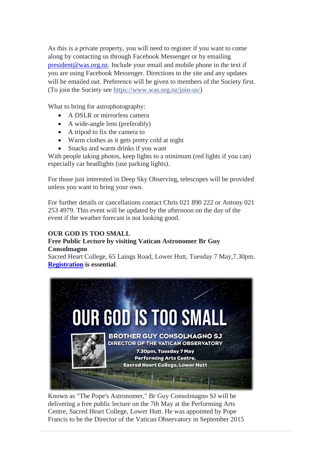As this is a private property, you will need to register if you want to come along by contacting us through Facebook Messenger or by emailing [president@was.org.nz.](mailto:president@was.org.nz) Include your email and mobile phone in the text if you are using Facebook Messenger. Directions to the site and any updates will be emailed out. Preference will be given to members of the Society first. (To join the Society see [https://www.was.org.nz/join-us/\)](https://www.was.org.nz/join-us/?fbclid=IwAR259HJp3obvJriRaZ9gU2RwrDIn5Atwjb_oel1AhmKxBhgeN4O_8oampZg)

What to bring for astrophotography:

- A DSLR or mirrorless camera
- A wide-angle lens (preferably)
- A tripod to fix the camera to
- Warm clothes as it gets pretty cold at night
- Snacks and warm drinks if you want

With people taking photos, keep lights to a minimum (red lights if you can) especially car headlights (use parking lights).

For those just interested in Deep Sky Observing, telescopes will be provided unless you want to bring your own.

For further details or cancellations contact Chris 021 890 222 or Antony 021 253 4979. This event will be updated by the afternoon on the day of the event if the weather forecast is not looking good.

#### **OUR GOD IS TOO SMALL**

#### **Free Public Lecture by visiting Vatican Astronomer Br Guy Consolmagno**

Sacred Heart College, 65 Laings Road, Lower Hutt, Tuesday 7 May,7.30pm. **[Registration](https://www.eventfinda.co.nz/2019/your-god-is-too-small-br-guy-consolmagno/wellington-region?fbclid=IwAR01eUt2gPPFSBtOjfM6PJGCS0o3O76JNB7Y40X6THxZkAhye_jDiJ6yLjU) is essential**.



Known as "The Pope's Astronomer," Br Guy Consolmagno SJ will be delivering a free public lecture on the 7th May at the Performing Arts Centre, Sacred Heart College, Lower Hutt. He was appointed by Pope Francis to be the Director of the Vatican Observatory in September 2015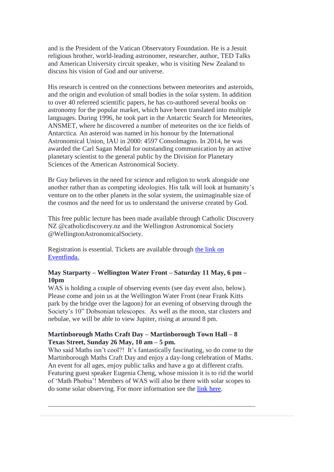and is the President of the Vatican Observatory Foundation. He is a Jesuit religious brother, world-leading astronomer, researcher, author, TED Talks and American University circuit speaker, who is visiting New Zealand to discuss his vision of God and our universe.

His research is centred on the connections between meteorites and asteroids, and the origin and evolution of small bodies in the solar system. In addition to over 40 refereed scientific papers, he has co-authored several books on astronomy for the popular market, which have been translated into multiple languages. During 1996, he took part in the Antarctic Search for Meteorites, ANSMET, where he discovered a number of meteorites on the ice fields of Antarctica. An asteroid was named in his honour by the International Astronomical Union, IAU in 2000: 4597 Consolmagno. In 2014, he was awarded the Carl Sagan Medal for outstanding communication by an active planetary scientist to the general public by the Division for Planetary Sciences of the American Astronomical Society.

Br Guy believes in the need for science and religion to work alongside one another rather than as competing ideologies. His talk will look at humanity's venture on to the other planets in the solar system, the unimaginable size of the cosmos and the need for us to understand the universe created by God.

This free public lecture has been made available through Catholic Discovery NZ @catholicdiscovery.nz and the Wellington Astronomical Society @WellingtonAstronomicalSociety.

Registration is essential. Tickets are available through [the link on](https://www.eventfinda.co.nz/2019/your-god-is-too-small-br-guy-consolmagno/wellington-region?fbclid=IwAR01eUt2gPPFSBtOjfM6PJGCS0o3O76JNB7Y40X6THxZkAhye_jDiJ6yLjU)  [Eventfinda.](https://www.eventfinda.co.nz/2019/your-god-is-too-small-br-guy-consolmagno/wellington-region?fbclid=IwAR01eUt2gPPFSBtOjfM6PJGCS0o3O76JNB7Y40X6THxZkAhye_jDiJ6yLjU)

#### **May Starparty – Wellington Water Front – Saturday 11 May, 6 pm – 10pm**

WAS is holding a couple of observing events (see day event also, below). Please come and join us at the Wellington Water Front (near Frank Kitts park by the bridge over the lagoon) for an evening of observing through the Society's 10" Dobsonian telescopes. As well as the moon, star clusters and nebulae, we will be able to view Jupiter, rising at around 8 pm.

#### **Martinborough Maths Craft Day – Martinborough Town Hall – 8 Texas Street, Sunday 26 May, 10 am – 5 pm.**

Who said Maths isn't cool?! It's fantastically fascinating, so do come to the Martinborough Maths Craft Day and enjoy a day-long celebration of Maths. An event for all ages, enjoy public talks and have a go at different crafts. Featuring guest speaker Eugenia Cheng, whose mission it is to rid the world of 'Math Phobia'! Members of WAS will also be there with solar scopes to do some solar observing. For more information see the [link here.](http://www.mathscraftnz.org/events/martinborough-mc-day)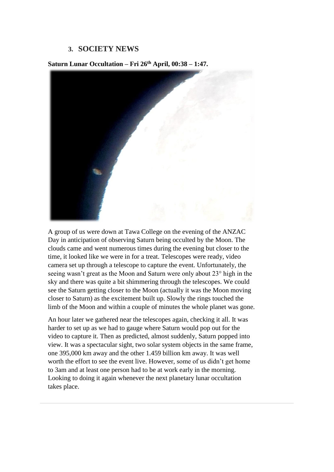### **3. SOCIETY NEWS**



**Saturn Lunar Occultation – Fri 26th April, 00:38 – 1:47.**

A group of us were down at Tawa College on the evening of the ANZAC Day in anticipation of observing Saturn being occulted by the Moon. The clouds came and went numerous times during the evening but closer to the time, it looked like we were in for a treat. Telescopes were ready, video camera set up through a telescope to capture the event. Unfortunately, the seeing wasn't great as the Moon and Saturn were only about 23° high in the sky and there was quite a bit shimmering through the telescopes. We could see the Saturn getting closer to the Moon (actually it was the Moon moving closer to Saturn) as the excitement built up. Slowly the rings touched the limb of the Moon and within a couple of minutes the whole planet was gone.

An hour later we gathered near the telescopes again, checking it all. It was harder to set up as we had to gauge where Saturn would pop out for the video to capture it. Then as predicted, almost suddenly, Saturn popped into view. It was a spectacular sight, two solar system objects in the same frame, one 395,000 km away and the other 1.459 billion km away. It was well worth the effort to see the event live. However, some of us didn't get home to 3am and at least one person had to be at work early in the morning. Looking to doing it again whenever the next planetary lunar occultation takes place.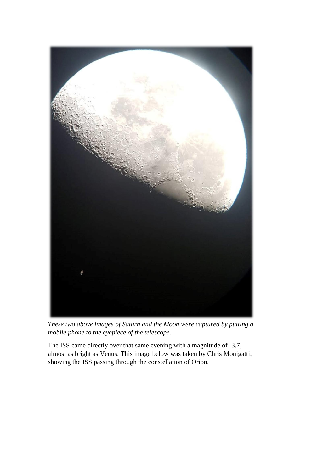

*These two above images of Saturn and the Moon were captured by putting a mobile phone to the eyepiece of the telescope.*

The ISS came directly over that same evening with a magnitude of -3.7, almost as bright as Venus. This image below was taken by Chris Monigatti, showing the ISS passing through the constellation of Orion.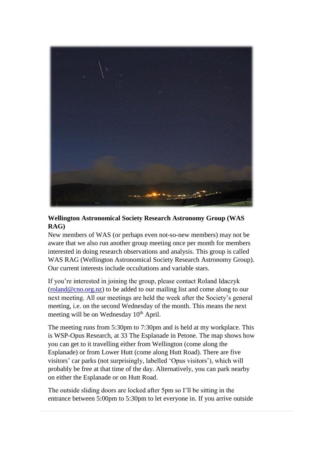

# **Wellington Astronomical Society Research Astronomy Group (WAS RAG)**

New members of WAS (or perhaps even not-so-new members) may not be aware that we also run another group meeting once per month for members interested in doing research observations and analysis. This group is called WAS RAG (Wellington Astronomical Society Research Astronomy Group). Our current interests include occultations and variable stars.

If you're interested in joining the group, please contact Roland Idaczyk  $(roland@cno.org.nz)$  to be added to our mailing list and come along to our next meeting. All our meetings are held the week after the Society's general meeting, i.e. on the second Wednesday of the month. This means the next meeting will be on Wednesday  $10<sup>th</sup>$  April.

The meeting runs from 5:30pm to 7:30pm and is held at my workplace. This is WSP-Opus Research, at 33 The Esplanade in Petone. The map shows how you can get to it travelling either from Wellington (come along the Esplanade) or from Lower Hutt (come along Hutt Road). There are five visitors' car parks (not surprisingly, labelled 'Opus visitors'), which will probably be free at that time of the day. Alternatively, you can park nearby on either the Esplanade or on Hutt Road.

The outside sliding doors are locked after 5pm so I'll be sitting in the entrance between 5:00pm to 5:30pm to let everyone in. If you arrive outside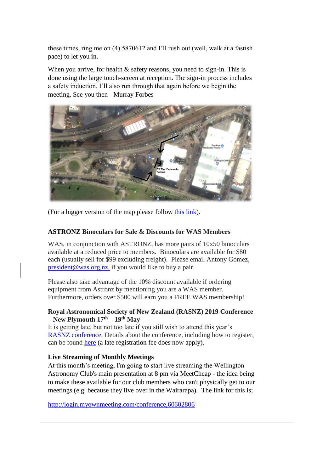these times, ring me on (4) 5870612 and I'll rush out (well, walk at a fastish pace) to let you in.

When you arrive, for health  $&$  safety reasons, you need to sign-in. This is done using the large touch-screen at reception. The sign-in process includes a safety induction. I'll also run through that again before we begin the meeting. See you then - Murray Forbes



(For a bigger version of the map please follow [this link\)](https://drive.google.com/file/d/0BxUmCMIrmiclNzBhdmFwV3RwekNRcmVCRHVkQ0ljOEp3YXFj/view?usp=sharing).

#### **ASTRONZ Binoculars for Sale & Discounts for WAS Members**

WAS, in conjunction with ASTRONZ, has more pairs of 10x50 binoculars available at a reduced price to members. Binoculars are available for \$80 each (usually sell for \$99 excluding freight). Please email Antony Gomez, [president@was.org.nz,](mailto:president@was.org.nz) if you would like to buy a pair.

Please also take advantage of the 10% discount available if ordering equipment from Astronz by mentioning you are a WAS member. Furthermore, orders over \$500 will earn you a FREE WAS membership!

#### **Royal Astronomical Society of New Zealand (RASNZ) 2019 Conference – New Plymouth 17th – 19th May**

It is getting late, but not too late if you still wish to attend this year's [RASNZ conference.](https://www.rasnz.org.nz/groups-news-events/conf-next) Details about the conference, including how to register, can be found [here](https://www.rasnz.org.nz/groups-news-events/conf-next) (a late registration fee does now apply).

#### **Live Streaming of Monthly Meetings**

At this month's meeting, I'm going to start live streaming the Wellington Astronomy Club's main presentation at 8 pm via MeetCheap - the idea being to make these available for our club members who can't physically get to our meetings (e.g. because they live over in the Wairarapa). The link for this is;

<http://login.myownmeeting.com/conference,60602806>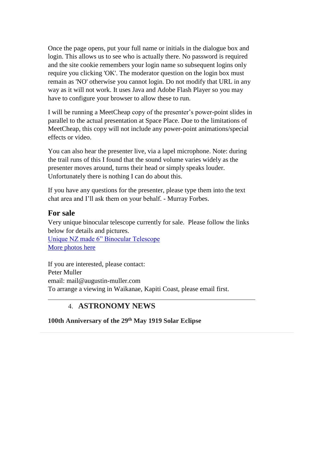Once the page opens, put your full name or initials in the dialogue box and login. This allows us to see who is actually there. No password is required and the site cookie remembers your login name so subsequent logins only require you clicking 'OK'. The moderator question on the login box must remain as 'NO' otherwise you cannot login. Do not modify that URL in any way as it will not work. It uses Java and Adobe Flash Player so you may have to configure your browser to allow these to run.

I will be running a MeetCheap copy of the presenter's power-point slides in parallel to the actual presentation at Space Place. Due to the limitations of MeetCheap, this copy will not include any power-point animations/special effects or video.

You can also hear the presenter live, via a lapel microphone. Note: during the trail runs of this I found that the sound volume varies widely as the presenter moves around, turns their head or simply speaks louder. Unfortunately there is nothing I can do about this.

If you have any questions for the presenter, please type them into the text chat area and I'll ask them on your behalf. - Murray Forbes.

### **For sale**

Very unique binocular telescope currently for sale. Please follow the links below for details and pictures.

[Unique NZ made 6" Binocular Telescope](https://drive.google.com/file/d/0BxUmCMIrmiclcldEemtwS2VJQUdZblhmSlhycG9oTWsxcWFV/view?usp=sharing) [More photos here](https://drive.google.com/file/d/0BxUmCMIrmiclY3FUc0RkRzhGOWVtc05ua3ZQaUhvT2NPN3lB/view?usp=sharing)

If you are interested, please contact: Peter Muller email: mail@augustin-muller.com To arrange a viewing in Waikanae, Kapiti Coast, please email first.

# 4. **ASTRONOMY NEWS**

**100th Anniversary of the 29th May 1919 Solar Eclipse**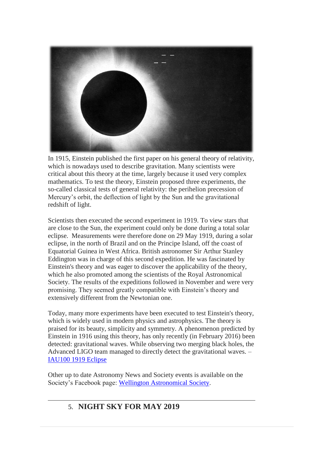

In 1915, Einstein published the first paper on his general theory of relativity, which is nowadays used to describe gravitation. Many scientists were critical about this theory at the time, largely because it used very complex mathematics. To test the theory, Einstein proposed three experiments, the so-called classical tests of general relativity: the perihelion precession of Mercury's orbit, the deflection of light by the Sun and the gravitational redshift of light.

Scientists then executed the second experiment in 1919. To view stars that are close to the Sun, the experiment could only be done during a total solar eclipse. Measurements were therefore done on 29 May 1919, during a solar eclipse, in the north of Brazil and on the Principe Island, off the coast of Equatorial Guinea in West Africa. British astronomer Sir Arthur Stanley Eddington was in charge of this second expedition. He was fascinated by Einstein's theory and was eager to discover the applicability of the theory, which he also promoted among the scientists of the Royal Astronomical Society. The results of the expeditions followed in November and were very promising. They seemed greatly compatible with Einstein's theory and extensively different from the Newtonian one.

Today, many more experiments have been executed to test Einstein's theory, which is widely used in modern physics and astrophysics. The theory is praised for its beauty, simplicity and symmetry. A phenomenon predicted by Einstein in 1916 using this theory, has only recently (in February 2016) been detected: gravitational waves. While observing two merging black holes, the Advanced LIGO team managed to directly detect the gravitational waves. – [IAU100 1919 Eclipse](https://www.iau-100.org/1919eclipse-anniversary-milestone)

Other up to date Astronomy News and Society events is available on the Society's Facebook page: [Wellington Astronomical Society.](http://www.facebook.com/WellingtonAstronomicalSociety/)

# 5. **NIGHT SKY FOR MAY 2019**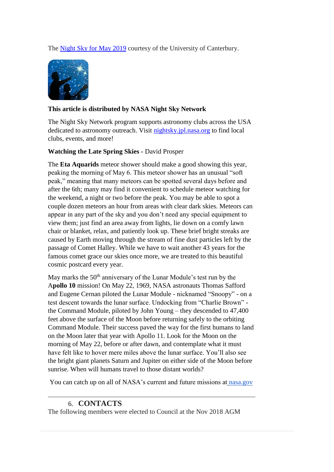The [Night Sky for May 2019](https://drive.google.com/open?id=1ZI04Z0xd1M_ScsECKvNqH8vja60_zlzu) courtesy of the University of Canterbury.



### **This article is distributed by NASA Night Sky Network**

The Night Sky Network program supports astronomy clubs across the USA dedicated to astronomy outreach. Visit [nightsky.jpl.nasa.org](https://nightsky.jpl.nasa.org/) to find local clubs, events, and more!

#### **Watching the Late Spring Skies -** David Prosper

The **Eta Aquarids** meteor shower should make a good showing this year, peaking the morning of May 6. This meteor shower has an unusual "soft peak," meaning that many meteors can be spotted several days before and after the 6th; many may find it convenient to schedule meteor watching for the weekend, a night or two before the peak. You may be able to spot a couple dozen meteors an hour from areas with clear dark skies. Meteors can appear in any part of the sky and you don't need any special equipment to view them; just find an area away from lights, lie down on a comfy lawn chair or blanket, relax, and patiently look up. These brief bright streaks are caused by Earth moving through the stream of fine dust particles left by the passage of Comet Halley. While we have to wait another 43 years for the famous comet grace our skies once more, we are treated to this beautiful cosmic postcard every year.

May marks the 50<sup>th</sup> anniversary of the Lunar Module's test run by the A**pollo 10** mission! On May 22, 1969, NASA astronauts Thomas Safford and Eugene Cernan piloted the Lunar Module - nicknamed "Snoopy" - on a test descent towards the lunar surface. Undocking from "Charlie Brown" the Command Module, piloted by John Young – they descended to 47,400 feet above the surface of the Moon before returning safely to the orbiting Command Module. Their success paved the way for the first humans to land on the Moon later that year with Apollo 11. Look for the Moon on the morning of May 22, before or after dawn, and contemplate what it must have felt like to hover mere miles above the lunar surface. You'll also see the bright giant planets Saturn and Jupiter on either side of the Moon before sunrise. When will humans travel to those distant worlds?

You can catch up on all of NASA's current and future missions at [nasa.gov](http://www.nasa.gov/)

# 6. **CONTACTS**

The following members were elected to Council at the Nov 2018 AGM